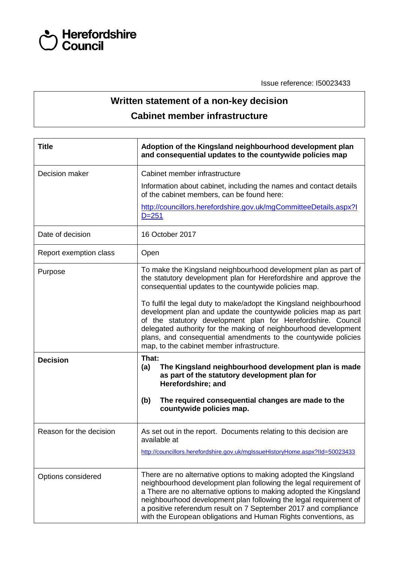

Issue reference: I50023433

## **Written statement of a non-key decision Cabinet member infrastructure**

| <b>Title</b>            | Adoption of the Kingsland neighbourhood development plan<br>and consequential updates to the countywide policies map                                                                                                                                                                                                                                                                                                                                                                                                                                                                     |  |  |  |
|-------------------------|------------------------------------------------------------------------------------------------------------------------------------------------------------------------------------------------------------------------------------------------------------------------------------------------------------------------------------------------------------------------------------------------------------------------------------------------------------------------------------------------------------------------------------------------------------------------------------------|--|--|--|
| Decision maker          | Cabinet member infrastructure                                                                                                                                                                                                                                                                                                                                                                                                                                                                                                                                                            |  |  |  |
|                         | Information about cabinet, including the names and contact details<br>of the cabinet members, can be found here:                                                                                                                                                                                                                                                                                                                                                                                                                                                                         |  |  |  |
|                         | http://councillors.herefordshire.gov.uk/mgCommitteeDetails.aspx?I<br>$D = 251$                                                                                                                                                                                                                                                                                                                                                                                                                                                                                                           |  |  |  |
| Date of decision        | 16 October 2017                                                                                                                                                                                                                                                                                                                                                                                                                                                                                                                                                                          |  |  |  |
| Report exemption class  | Open                                                                                                                                                                                                                                                                                                                                                                                                                                                                                                                                                                                     |  |  |  |
| Purpose                 | To make the Kingsland neighbourhood development plan as part of<br>the statutory development plan for Herefordshire and approve the<br>consequential updates to the countywide policies map.<br>To fulfil the legal duty to make/adopt the Kingsland neighbourhood<br>development plan and update the countywide policies map as part<br>of the statutory development plan for Herefordshire. Council<br>delegated authority for the making of neighbourhood development<br>plans, and consequential amendments to the countywide policies<br>map, to the cabinet member infrastructure. |  |  |  |
|                         |                                                                                                                                                                                                                                                                                                                                                                                                                                                                                                                                                                                          |  |  |  |
| <b>Decision</b>         | That:<br>The Kingsland neighbourhood development plan is made<br>(a)<br>as part of the statutory development plan for<br>Herefordshire; and<br>The required consequential changes are made to the<br>(b)<br>countywide policies map.                                                                                                                                                                                                                                                                                                                                                     |  |  |  |
|                         |                                                                                                                                                                                                                                                                                                                                                                                                                                                                                                                                                                                          |  |  |  |
| Reason for the decision | As set out in the report. Documents relating to this decision are<br>available at                                                                                                                                                                                                                                                                                                                                                                                                                                                                                                        |  |  |  |
|                         | http://councillors.herefordshire.gov.uk/mglssueHistoryHome.aspx?IId=50023433                                                                                                                                                                                                                                                                                                                                                                                                                                                                                                             |  |  |  |
| Options considered      | There are no alternative options to making adopted the Kingsland<br>neighbourhood development plan following the legal requirement of<br>a There are no alternative options to making adopted the Kingsland<br>neighbourhood development plan following the legal requirement of<br>a positive referendum result on 7 September 2017 and compliance<br>with the European obligations and Human Rights conventions, as                                                                                                                                                                    |  |  |  |